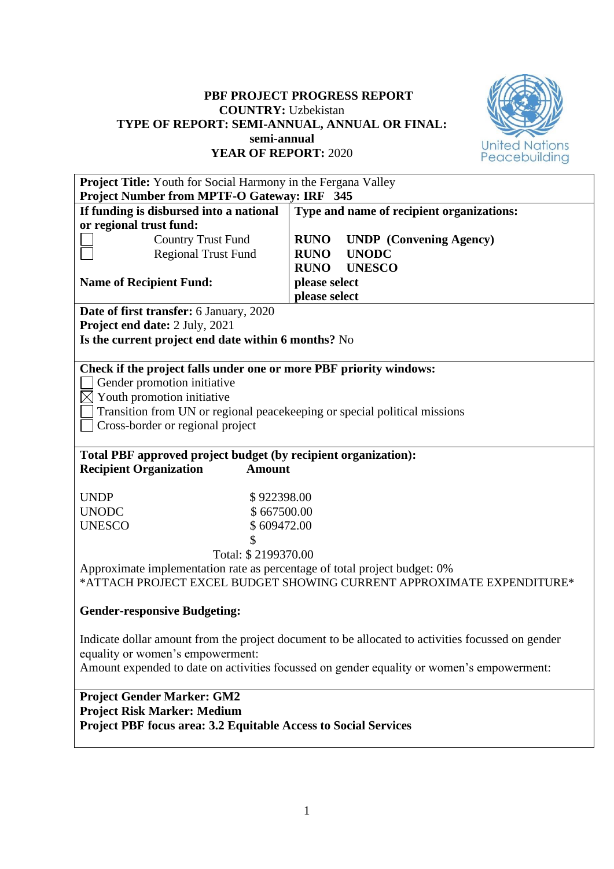## **PBF PROJECT PROGRESS REPORT COUNTRY:** Uzbekistan **TYPE OF REPORT: SEMI-ANNUAL, ANNUAL OR FINAL: semi-annual YEAR OF REPORT:** 2020



| <b>Project Title:</b> Youth for Social Harmony in the Fergana Valley<br>Project Number from MPTF-O Gateway: IRF 345 |                                                                                                   |  |  |  |  |  |  |
|---------------------------------------------------------------------------------------------------------------------|---------------------------------------------------------------------------------------------------|--|--|--|--|--|--|
| If funding is disbursed into a national                                                                             | Type and name of recipient organizations:                                                         |  |  |  |  |  |  |
| or regional trust fund:                                                                                             |                                                                                                   |  |  |  |  |  |  |
| <b>Country Trust Fund</b>                                                                                           | <b>RUNO</b><br><b>UNDP</b> (Convening Agency)                                                     |  |  |  |  |  |  |
| <b>Regional Trust Fund</b>                                                                                          | <b>UNODC</b><br><b>RUNO</b>                                                                       |  |  |  |  |  |  |
|                                                                                                                     | <b>UNESCO</b><br><b>RUNO</b>                                                                      |  |  |  |  |  |  |
| <b>Name of Recipient Fund:</b>                                                                                      | please select                                                                                     |  |  |  |  |  |  |
| please select                                                                                                       |                                                                                                   |  |  |  |  |  |  |
| <b>Date of first transfer:</b> 6 January, 2020                                                                      |                                                                                                   |  |  |  |  |  |  |
| Project end date: 2 July, 2021                                                                                      |                                                                                                   |  |  |  |  |  |  |
| Is the current project end date within 6 months? No                                                                 |                                                                                                   |  |  |  |  |  |  |
|                                                                                                                     |                                                                                                   |  |  |  |  |  |  |
| Check if the project falls under one or more PBF priority windows:                                                  |                                                                                                   |  |  |  |  |  |  |
| Gender promotion initiative                                                                                         |                                                                                                   |  |  |  |  |  |  |
| $\boxtimes$ Youth promotion initiative                                                                              |                                                                                                   |  |  |  |  |  |  |
| Transition from UN or regional peacekeeping or special political missions                                           |                                                                                                   |  |  |  |  |  |  |
| Cross-border or regional project                                                                                    |                                                                                                   |  |  |  |  |  |  |
|                                                                                                                     |                                                                                                   |  |  |  |  |  |  |
| Total PBF approved project budget (by recipient organization):                                                      |                                                                                                   |  |  |  |  |  |  |
| <b>Recipient Organization</b><br><b>Amount</b>                                                                      |                                                                                                   |  |  |  |  |  |  |
|                                                                                                                     |                                                                                                   |  |  |  |  |  |  |
| <b>UNDP</b><br>\$922398.00                                                                                          |                                                                                                   |  |  |  |  |  |  |
| <b>UNODC</b><br>\$667500.00                                                                                         |                                                                                                   |  |  |  |  |  |  |
| <b>UNESCO</b><br>\$609472.00                                                                                        |                                                                                                   |  |  |  |  |  |  |
| \$                                                                                                                  |                                                                                                   |  |  |  |  |  |  |
| Total: \$2199370.00                                                                                                 |                                                                                                   |  |  |  |  |  |  |
| Approximate implementation rate as percentage of total project budget: 0%                                           |                                                                                                   |  |  |  |  |  |  |
|                                                                                                                     | *ATTACH PROJECT EXCEL BUDGET SHOWING CURRENT APPROXIMATE EXPENDITURE*                             |  |  |  |  |  |  |
| <b>Gender-responsive Budgeting:</b>                                                                                 |                                                                                                   |  |  |  |  |  |  |
|                                                                                                                     |                                                                                                   |  |  |  |  |  |  |
|                                                                                                                     | Indicate dollar amount from the project document to be allocated to activities focussed on gender |  |  |  |  |  |  |
| equality or women's empowerment:                                                                                    |                                                                                                   |  |  |  |  |  |  |
|                                                                                                                     | Amount expended to date on activities focussed on gender equality or women's empowerment:         |  |  |  |  |  |  |
|                                                                                                                     |                                                                                                   |  |  |  |  |  |  |
| <b>Project Gender Marker: GM2</b>                                                                                   |                                                                                                   |  |  |  |  |  |  |
| <b>Project Risk Marker: Medium</b>                                                                                  |                                                                                                   |  |  |  |  |  |  |
| <b>Project PBF focus area: 3.2 Equitable Access to Social Services</b>                                              |                                                                                                   |  |  |  |  |  |  |
|                                                                                                                     |                                                                                                   |  |  |  |  |  |  |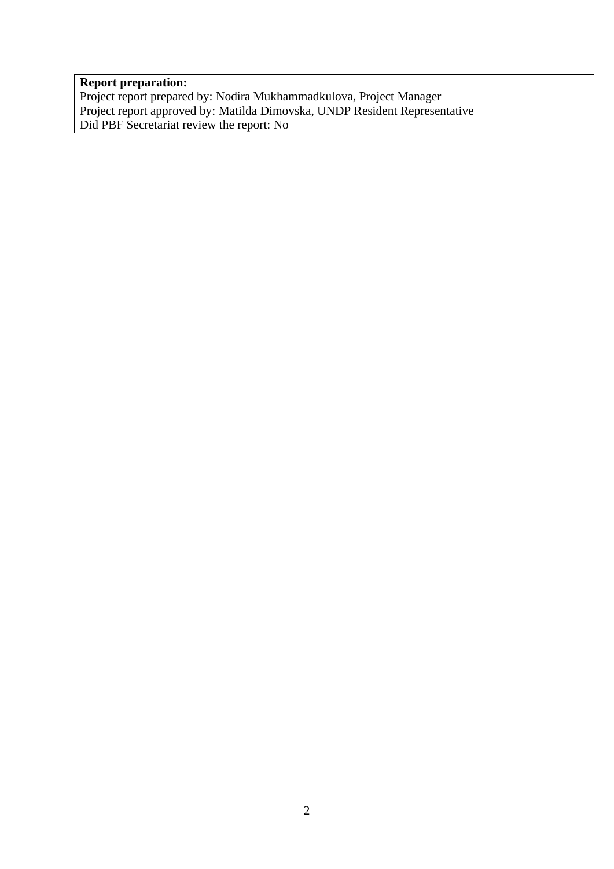### **Report preparation:**

Project report prepared by: Nodira Mukhammadkulova, Project Manager Project report approved by: Matilda Dimovska, UNDP Resident Representative Did PBF Secretariat review the report: No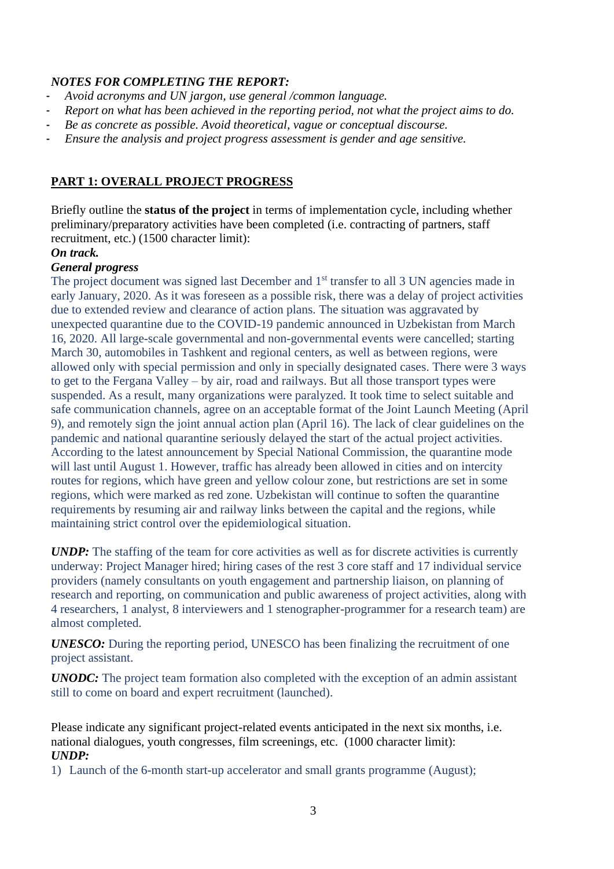## *NOTES FOR COMPLETING THE REPORT:*

- *Avoid acronyms and UN jargon, use general /common language.*
- *Report on what has been achieved in the reporting period, not what the project aims to do.*
- *Be as concrete as possible. Avoid theoretical, vague or conceptual discourse.*
- *Ensure the analysis and project progress assessment is gender and age sensitive.*

## **PART 1: OVERALL PROJECT PROGRESS**

Briefly outline the **status of the project** in terms of implementation cycle, including whether preliminary/preparatory activities have been completed (i.e. contracting of partners, staff recruitment, etc.) (1500 character limit):

*On track.* 

### *General progress*

The project document was signed last December and 1<sup>st</sup> transfer to all 3 UN agencies made in early January, 2020. As it was foreseen as a possible risk, there was a delay of project activities due to extended review and clearance of action plans. The situation was aggravated by unexpected quarantine due to the COVID-19 pandemic announced in Uzbekistan from March 16, 2020. All large-scale governmental and non-governmental events were cancelled; starting March 30, automobiles in Tashkent and regional centers, as well as between regions, were allowed only with special permission and only in specially designated cases. There were 3 ways to get to the Fergana Valley – by air, road and railways. But all those transport types were suspended. As a result, many organizations were paralyzed. It took time to select suitable and safe communication channels, agree on an acceptable format of the Joint Launch Meeting (April 9), and remotely sign the joint annual action plan (April 16). The lack of clear guidelines on the pandemic and national quarantine seriously delayed the start of the actual project activities. According to the latest announcement by Special National Commission, the quarantine mode will last until August 1. However, traffic has already been allowed in cities and on intercity routes for regions, which have green and yellow colour zone, but restrictions are set in some regions, which were marked as red zone. Uzbekistan will continue to soften the quarantine requirements by resuming air and railway links between the capital and the regions, while maintaining strict control over the epidemiological situation.

*UNDP*: The staffing of the team for core activities as well as for discrete activities is currently underway: Project Manager hired; hiring cases of the rest 3 core staff and 17 individual service providers (namely consultants on youth engagement and partnership liaison, on planning of research and reporting, on communication and public awareness of project activities, along with 4 researchers, 1 analyst, 8 interviewers and 1 stenographer-programmer for a research team) are almost completed.

*UNESCO:* During the reporting period, UNESCO has been finalizing the recruitment of one project assistant.

*UNODC:* The project team formation also completed with the exception of an admin assistant still to come on board and expert recruitment (launched).

Please indicate any significant project-related events anticipated in the next six months, i.e. national dialogues, youth congresses, film screenings, etc. (1000 character limit): *UNDP:*

1) Launch of the 6-month start-up accelerator and small grants programme (August);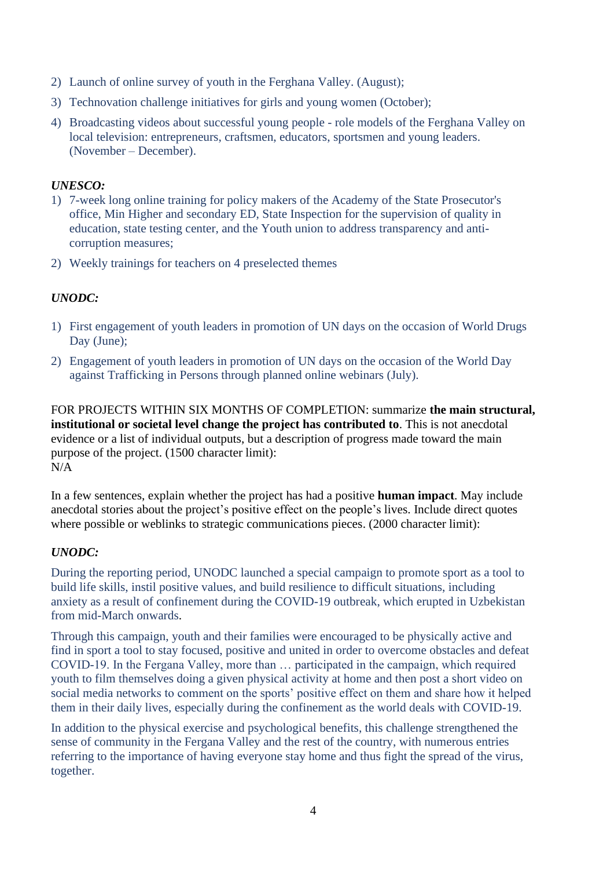- 2) Launch of online survey of youth in the Ferghana Valley. (August);
- 3) Technovation challenge initiatives for girls and young women (October);
- 4) Broadcasting videos about successful young people role models of the Ferghana Valley on local television: entrepreneurs, craftsmen, educators, sportsmen and young leaders. (November – December).

### *UNESCO:*

- 1) 7-week long online training for policy makers of the Academy of the State Prosecutor's office, Min Higher and secondary ED, State Inspection for the supervision of quality in education, state testing center, and the Youth union to address transparency and anticorruption measures;
- 2) Weekly trainings for teachers on 4 preselected themes

## *UNODC:*

- 1) First engagement of youth leaders in promotion of UN days on the occasion of World Drugs Day (June);
- 2) Engagement of youth leaders in promotion of UN days on the occasion of the World Day against Trafficking in Persons through planned online webinars (July).

FOR PROJECTS WITHIN SIX MONTHS OF COMPLETION: summarize **the main structural, institutional or societal level change the project has contributed to**. This is not anecdotal evidence or a list of individual outputs, but a description of progress made toward the main purpose of the project. (1500 character limit): N/A

In a few sentences, explain whether the project has had a positive **human impact**. May include anecdotal stories about the project's positive effect on the people's lives. Include direct quotes where possible or weblinks to strategic communications pieces. (2000 character limit):

## *UNODC:*

During the reporting period, UNODC launched a special campaign to promote sport as a tool to build life skills, instil positive values, and build resilience to difficult situations, including anxiety as a result of confinement during the COVID-19 outbreak, which erupted in Uzbekistan from mid-March onwards.

Through this campaign, youth and their families were encouraged to be physically active and find in sport a tool to stay focused, positive and united in order to overcome obstacles and defeat COVID-19. In the Fergana Valley, more than … participated in the campaign, which required youth to film themselves doing a given physical activity at home and then post a short video on social media networks to comment on the sports' positive effect on them and share how it helped them in their daily lives, especially during the confinement as the world deals with COVID-19.

In addition to the physical exercise and psychological benefits, this challenge strengthened the sense of community in the Fergana Valley and the rest of the country, with numerous entries referring to the importance of having everyone stay home and thus fight the spread of the virus, together.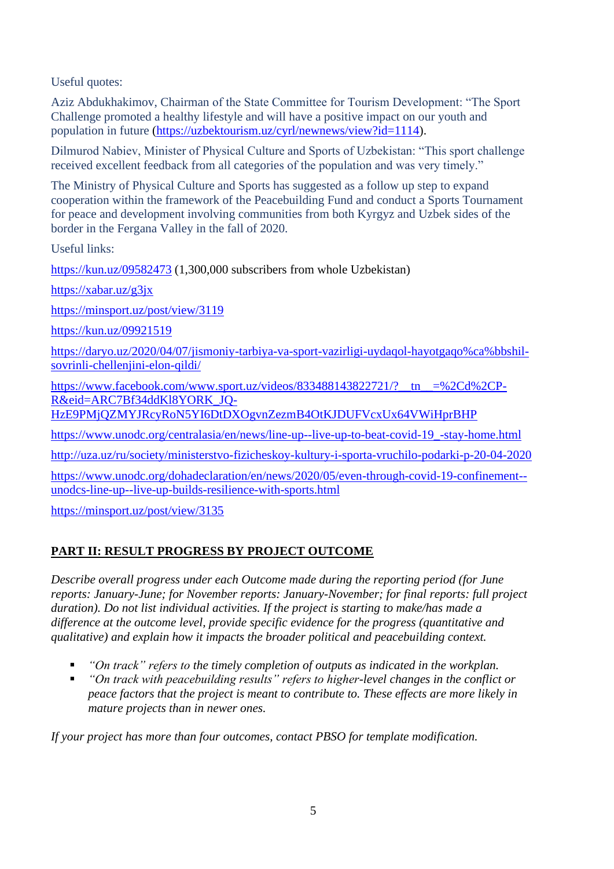Useful quotes:

Aziz Abdukhakimov, Chairman of the State Committee for Tourism Development: "The Sport Challenge promoted a healthy lifestyle and will have a positive impact on our youth and population in future [\(https://uzbektourism.uz/cyrl/newnews/view?id=1114\)](https://uzbektourism.uz/cyrl/newnews/view?id=1114).

Dilmurod Nabiev, Minister of Physical Culture and Sports of Uzbekistan: "This sport challenge received excellent feedback from all categories of the population and was very timely."

The Ministry of Physical Culture and Sports has suggested as a follow up step to expand cooperation within the framework of the Peacebuilding Fund and conduct a Sports Tournament for peace and development involving communities from both Kyrgyz and Uzbek sides of the border in the Fergana Valley in the fall of 2020.

Useful links:

<https://kun.uz/09582473> (1,300,000 subscribers from whole Uzbekistan)

<https://xabar.uz/g3jx>

<https://minsport.uz/post/view/3119>

<https://kun.uz/09921519>

[https://daryo.uz/2020/04/07/jismoniy-tarbiya-va-sport-vazirligi-uydaqol-hayotgaqo%ca%bbshil](https://daryo.uz/2020/04/07/jismoniy-tarbiya-va-sport-vazirligi-uydaqol-hayotgaqo%CA%BBshil-sovrinli-chellenjini-elon-qildi/)[sovrinli-chellenjini-elon-qildi/](https://daryo.uz/2020/04/07/jismoniy-tarbiya-va-sport-vazirligi-uydaqol-hayotgaqo%CA%BBshil-sovrinli-chellenjini-elon-qildi/)

https://www.facebook.com/www.sport.uz/videos/833488143822721/?\_tn\_=%2Cd%2CP-[R&eid=ARC7Bf34ddKl8YORK\\_JQ-](https://www.facebook.com/www.sport.uz/videos/833488143822721/?__tn__=%2Cd%2CP-R&eid=ARC7Bf34ddKl8YORK_JQ-HzE9PMjQZMYJRcyRoN5YI6DtDXOgvnZezmB4OtKJDUFVcxUx64VWiHprBHP)

[HzE9PMjQZMYJRcyRoN5YI6DtDXOgvnZezmB4OtKJDUFVcxUx64VWiHprBHP](https://www.facebook.com/www.sport.uz/videos/833488143822721/?__tn__=%2Cd%2CP-R&eid=ARC7Bf34ddKl8YORK_JQ-HzE9PMjQZMYJRcyRoN5YI6DtDXOgvnZezmB4OtKJDUFVcxUx64VWiHprBHP)

[https://www.unodc.org/centralasia/en/news/line-up--live-up-to-beat-covid-19\\_-stay-home.html](https://www.unodc.org/centralasia/en/news/line-up--live-up-to-beat-covid-19_-stay-home.html)

<http://uza.uz/ru/society/ministerstvo-fizicheskoy-kultury-i-sporta-vruchilo-podarki-p-20-04-2020>

[https://www.unodc.org/dohadeclaration/en/news/2020/05/even-through-covid-19-confinement-](https://www.unodc.org/dohadeclaration/en/news/2020/05/even-through-covid-19-confinement--unodcs-line-up--live-up-builds-resilience-with-sports.html) [unodcs-line-up--live-up-builds-resilience-with-sports.html](https://www.unodc.org/dohadeclaration/en/news/2020/05/even-through-covid-19-confinement--unodcs-line-up--live-up-builds-resilience-with-sports.html)

<https://minsport.uz/post/view/3135>

# **PART II: RESULT PROGRESS BY PROJECT OUTCOME**

*Describe overall progress under each Outcome made during the reporting period (for June reports: January-June; for November reports: January-November; for final reports: full project duration). Do not list individual activities. If the project is starting to make/has made a difference at the outcome level, provide specific evidence for the progress (quantitative and qualitative) and explain how it impacts the broader political and peacebuilding context.* 

- *"On track" refers to the timely completion of outputs as indicated in the workplan.*
- *"On track with peacebuilding results" refers to higher-level changes in the conflict or peace factors that the project is meant to contribute to. These effects are more likely in mature projects than in newer ones.*

*If your project has more than four outcomes, contact PBSO for template modification.*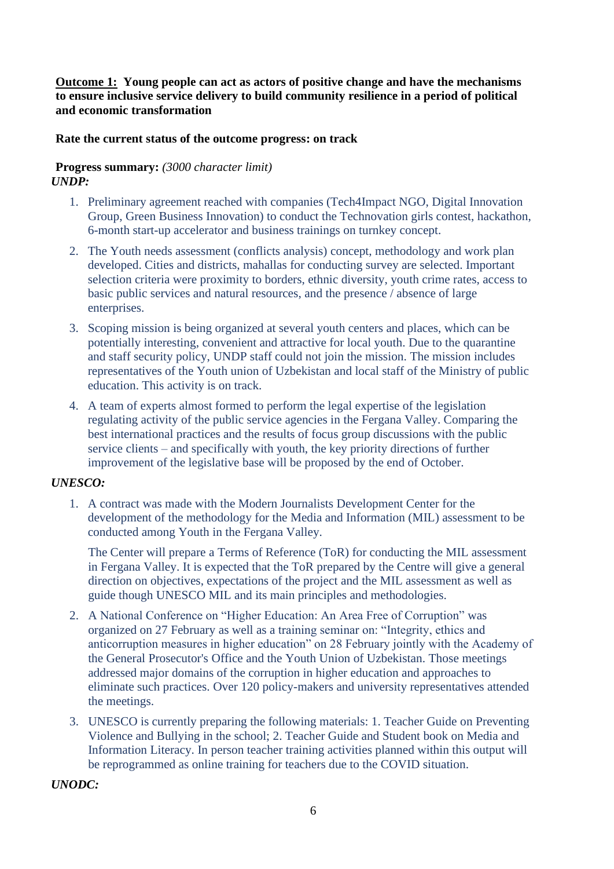## **Outcome 1: Young people can act as actors of positive change and have the mechanisms to ensure inclusive service delivery to build community resilience in a period of political and economic transformation**

### **Rate the current status of the outcome progress: on track**

### **Progress summary:** *(3000 character limit) UNDP:*

- 1. Preliminary agreement reached with companies (Tech4Impact NGO, Digital Innovation Group, Green Business Innovation) to conduct the Technovation girls contest, hackathon, 6-month start-up accelerator and business trainings on turnkey concept.
- 2. The Youth needs assessment (conflicts analysis) concept, methodology and work plan developed. Cities and districts, mahallas for conducting survey are selected. Important selection criteria were proximity to borders, ethnic diversity, youth crime rates, access to basic public services and natural resources, and the presence / absence of large enterprises.
- 3. Scoping mission is being organized at several youth centers and places, which can be potentially interesting, convenient and attractive for local youth. Due to the quarantine and staff security policy, UNDP staff could not join the mission. The mission includes representatives of the Youth union of Uzbekistan and local staff of the Ministry of public education. This activity is on track.
- 4. A team of experts almost formed to perform the legal expertise of the legislation regulating activity of the public service agencies in the Fergana Valley. Comparing the best international practices and the results of focus group discussions with the public service clients – and specifically with youth, the key priority directions of further improvement of the legislative base will be proposed by the end of October.

## *UNESCO:*

1. A contract was made with the Modern Journalists Development Center for the development of the methodology for the Media and Information (MIL) assessment to be conducted among Youth in the Fergana Valley.

The Center will prepare a Terms of Reference (ToR) for conducting the MIL assessment in Fergana Valley. It is expected that the ToR prepared by the Centre will give a general direction on objectives, expectations of the project and the MIL assessment as well as guide though UNESCO MIL and its main principles and methodologies.

- 2. A National Conference on "Higher Education: An Area Free of Corruption" was organized on 27 February as well as a training seminar on: "Integrity, ethics and anticorruption measures in higher education" on 28 February jointly with the Academy of the General Prosecutor's Office and the Youth Union of Uzbekistan. Those meetings addressed major domains of the corruption in higher education and approaches to eliminate such practices. Over 120 policy-makers and university representatives attended the meetings.
- 3. UNESCO is currently preparing the following materials: 1. Teacher Guide on Preventing Violence and Bullying in the school; 2. Teacher Guide and Student book on Media and Information Literacy. In person teacher training activities planned within this output will be reprogrammed as online training for teachers due to the COVID situation.

#### *UNODC:*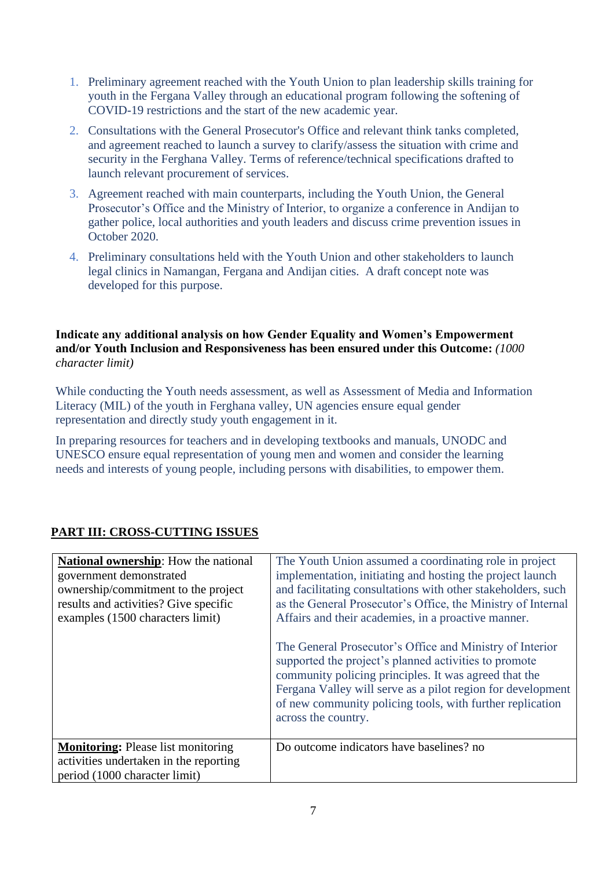- 1. Preliminary agreement reached with the Youth Union to plan leadership skills training for youth in the Fergana Valley through an educational program following the softening of COVID-19 restrictions and the start of the new academic year.
- 2. Consultations with the General Prosecutor's Office and relevant think tanks completed, and agreement reached to launch a survey to clarify/assess the situation with crime and security in the Ferghana Valley. Terms of reference/technical specifications drafted to launch relevant procurement of services.
- 3. Agreement reached with main counterparts, including the Youth Union, the General Prosecutor's Office and the Ministry of Interior, to organize a conference in Andijan to gather police, local authorities and youth leaders and discuss crime prevention issues in October 2020.
- 4. Preliminary consultations held with the Youth Union and other stakeholders to launch legal clinics in Namangan, Fergana and Andijan cities. A draft concept note was developed for this purpose.

**Indicate any additional analysis on how Gender Equality and Women's Empowerment and/or Youth Inclusion and Responsiveness has been ensured under this Outcome:** *(1000 character limit)*

While conducting the Youth needs assessment, as well as Assessment of Media and Information Literacy (MIL) of the youth in Ferghana valley, UN agencies ensure equal gender representation and directly study youth engagement in it.

In preparing resources for teachers and in developing textbooks and manuals, UNODC and UNESCO ensure equal representation of young men and women and consider the learning needs and interests of young people, including persons with disabilities, to empower them.

|  | <b>PART III: CROSS-CUTTING ISSUES</b> |
|--|---------------------------------------|
|  |                                       |

| <b>National ownership:</b> How the national<br>government demonstrated<br>ownership/commitment to the project<br>results and activities? Give specific<br>examples (1500 characters limit) | The Youth Union assumed a coordinating role in project<br>implementation, initiating and hosting the project launch<br>and facilitating consultations with other stakeholders, such<br>as the General Prosecutor's Office, the Ministry of Internal<br>Affairs and their academies, in a proactive manner.<br>The General Prosecutor's Office and Ministry of Interior<br>supported the project's planned activities to promote |
|--------------------------------------------------------------------------------------------------------------------------------------------------------------------------------------------|---------------------------------------------------------------------------------------------------------------------------------------------------------------------------------------------------------------------------------------------------------------------------------------------------------------------------------------------------------------------------------------------------------------------------------|
|                                                                                                                                                                                            | community policing principles. It was agreed that the<br>Fergana Valley will serve as a pilot region for development<br>of new community policing tools, with further replication<br>across the country.                                                                                                                                                                                                                        |
| <b>Monitoring:</b> Please list monitoring<br>activities undertaken in the reporting<br>period (1000 character limit)                                                                       | Do outcome indicators have baselines? no                                                                                                                                                                                                                                                                                                                                                                                        |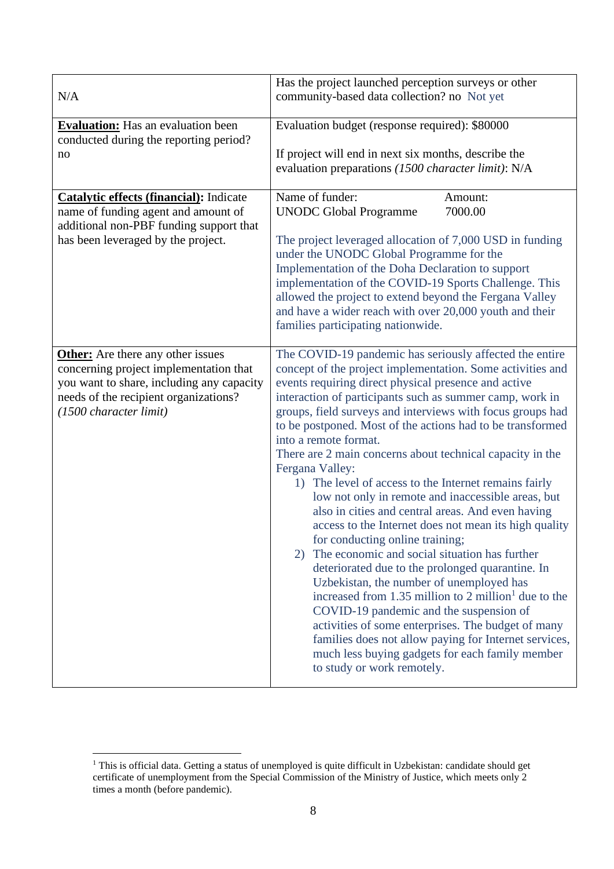| N/A                                                                                                                                                                                                | Has the project launched perception surveys or other<br>community-based data collection? no Not yet                                                                                                                                                                                                                                                                                                                                                                                                                                                                                                                                                                                                                                                                                                                                                                                                                                                                                                                                                                                                                                                                                                                  |
|----------------------------------------------------------------------------------------------------------------------------------------------------------------------------------------------------|----------------------------------------------------------------------------------------------------------------------------------------------------------------------------------------------------------------------------------------------------------------------------------------------------------------------------------------------------------------------------------------------------------------------------------------------------------------------------------------------------------------------------------------------------------------------------------------------------------------------------------------------------------------------------------------------------------------------------------------------------------------------------------------------------------------------------------------------------------------------------------------------------------------------------------------------------------------------------------------------------------------------------------------------------------------------------------------------------------------------------------------------------------------------------------------------------------------------|
| <b>Evaluation:</b> Has an evaluation been<br>conducted during the reporting period?<br>no                                                                                                          | Evaluation budget (response required): \$80000<br>If project will end in next six months, describe the<br>evaluation preparations (1500 character limit): N/A                                                                                                                                                                                                                                                                                                                                                                                                                                                                                                                                                                                                                                                                                                                                                                                                                                                                                                                                                                                                                                                        |
| <b>Catalytic effects (financial):</b> Indicate<br>name of funding agent and amount of<br>additional non-PBF funding support that<br>has been leveraged by the project.                             | Name of funder:<br>Amount:<br><b>UNODC Global Programme</b><br>7000.00<br>The project leveraged allocation of 7,000 USD in funding<br>under the UNODC Global Programme for the<br>Implementation of the Doha Declaration to support<br>implementation of the COVID-19 Sports Challenge. This<br>allowed the project to extend beyond the Fergana Valley<br>and have a wider reach with over 20,000 youth and their<br>families participating nationwide.                                                                                                                                                                                                                                                                                                                                                                                                                                                                                                                                                                                                                                                                                                                                                             |
| <b>Other:</b> Are there any other issues<br>concerning project implementation that<br>you want to share, including any capacity<br>needs of the recipient organizations?<br>(1500 character limit) | The COVID-19 pandemic has seriously affected the entire<br>concept of the project implementation. Some activities and<br>events requiring direct physical presence and active<br>interaction of participants such as summer camp, work in<br>groups, field surveys and interviews with focus groups had<br>to be postponed. Most of the actions had to be transformed<br>into a remote format.<br>There are 2 main concerns about technical capacity in the<br>Fergana Valley:<br>1) The level of access to the Internet remains fairly<br>low not only in remote and inaccessible areas, but<br>also in cities and central areas. And even having<br>access to the Internet does not mean its high quality<br>for conducting online training;<br>The economic and social situation has further<br>2)<br>deteriorated due to the prolonged quarantine. In<br>Uzbekistan, the number of unemployed has<br>increased from 1.35 million to 2 million <sup>1</sup> due to the<br>COVID-19 pandemic and the suspension of<br>activities of some enterprises. The budget of many<br>families does not allow paying for Internet services,<br>much less buying gadgets for each family member<br>to study or work remotely. |

<sup>&</sup>lt;sup>1</sup> This is official data. Getting a status of unemployed is quite difficult in Uzbekistan: candidate should get certificate of unemployment from the Special Commission of the Ministry of Justice, which meets only 2 times a month (before pandemic).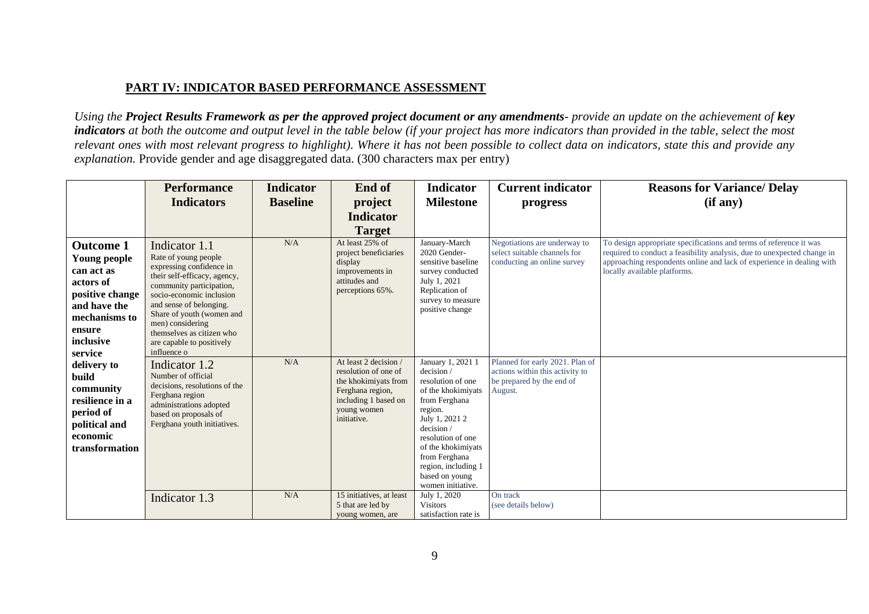## **PART IV: INDICATOR BASED PERFORMANCE ASSESSMENT**

*Using the Project Results Framework as per the approved project document or any amendments- provide an update on the achievement of key indicators at both the outcome and output level in the table below (if your project has more indicators than provided in the table, select the most relevant ones with most relevant progress to highlight). Where it has not been possible to collect data on indicators, state this and provide any explanation.* Provide gender and age disaggregated data. (300 characters max per entry)

|                                                                                                                                                                                                                                                                       | <b>Performance</b>                                                                                                                                                                                                                                                                                             | <b>Indicator</b> | End of                                                                                                                                          | <b>Indicator</b>                                                                                                                                                                                                                                               | <b>Current indicator</b>                                                                                   | <b>Reasons for Variance/ Delay</b>                                                                                                                                                                                                                     |
|-----------------------------------------------------------------------------------------------------------------------------------------------------------------------------------------------------------------------------------------------------------------------|----------------------------------------------------------------------------------------------------------------------------------------------------------------------------------------------------------------------------------------------------------------------------------------------------------------|------------------|-------------------------------------------------------------------------------------------------------------------------------------------------|----------------------------------------------------------------------------------------------------------------------------------------------------------------------------------------------------------------------------------------------------------------|------------------------------------------------------------------------------------------------------------|--------------------------------------------------------------------------------------------------------------------------------------------------------------------------------------------------------------------------------------------------------|
|                                                                                                                                                                                                                                                                       | <b>Indicators</b>                                                                                                                                                                                                                                                                                              | <b>Baseline</b>  | project                                                                                                                                         | <b>Milestone</b>                                                                                                                                                                                                                                               | progress                                                                                                   | (if any)                                                                                                                                                                                                                                               |
|                                                                                                                                                                                                                                                                       |                                                                                                                                                                                                                                                                                                                |                  | <b>Indicator</b>                                                                                                                                |                                                                                                                                                                                                                                                                |                                                                                                            |                                                                                                                                                                                                                                                        |
|                                                                                                                                                                                                                                                                       |                                                                                                                                                                                                                                                                                                                |                  | <b>Target</b>                                                                                                                                   |                                                                                                                                                                                                                                                                |                                                                                                            |                                                                                                                                                                                                                                                        |
| <b>Outcome 1</b><br>Young people<br>can act as<br>actors of<br>positive change<br>and have the<br>mechanisms to<br>ensure<br>inclusive<br>service<br>delivery to<br>build<br>community<br>resilience in a<br>period of<br>political and<br>economic<br>transformation | Indicator 1.1<br>Rate of young people<br>expressing confidence in<br>their self-efficacy, agency,<br>community participation,<br>socio-economic inclusion<br>and sense of belonging.<br>Share of youth (women and<br>men) considering<br>themselves as citizen who<br>are capable to positively<br>influence o | N/A              | At least 25% of<br>project beneficiaries<br>display<br>improvements in<br>attitudes and<br>perceptions 65%.                                     | January-March<br>2020 Gender-<br>sensitive baseline<br>survey conducted<br>July 1, 2021<br>Replication of<br>survey to measure<br>positive change                                                                                                              | Negotiations are underway to<br>select suitable channels for<br>conducting an online survey                | To design appropriate specifications and terms of reference it was<br>required to conduct a feasibility analysis, due to unexpected change in<br>approaching respondents online and lack of experience in dealing with<br>locally available platforms. |
|                                                                                                                                                                                                                                                                       | Indicator 1.2<br>Number of official<br>decisions, resolutions of the<br>Ferghana region<br>administrations adopted<br>based on proposals of<br>Ferghana youth initiatives.                                                                                                                                     | N/A              | At least 2 decision /<br>resolution of one of<br>the khokimiyats from<br>Ferghana region,<br>including 1 based on<br>young women<br>initiative. | January 1, 2021 1<br>decision/<br>resolution of one<br>of the khokimiyats<br>from Ferghana<br>region.<br>July 1, 2021 2<br>decision/<br>resolution of one<br>of the khokimiyats<br>from Ferghana<br>region, including 1<br>based on young<br>women initiative. | Planned for early 2021. Plan of<br>actions within this activity to<br>be prepared by the end of<br>August. |                                                                                                                                                                                                                                                        |
|                                                                                                                                                                                                                                                                       | Indicator 1.3                                                                                                                                                                                                                                                                                                  | N/A              | 15 initiatives, at least<br>5 that are led by<br>young women, are                                                                               | July 1, 2020<br><b>Visitors</b><br>satisfaction rate is                                                                                                                                                                                                        | On track<br>(see details below)                                                                            |                                                                                                                                                                                                                                                        |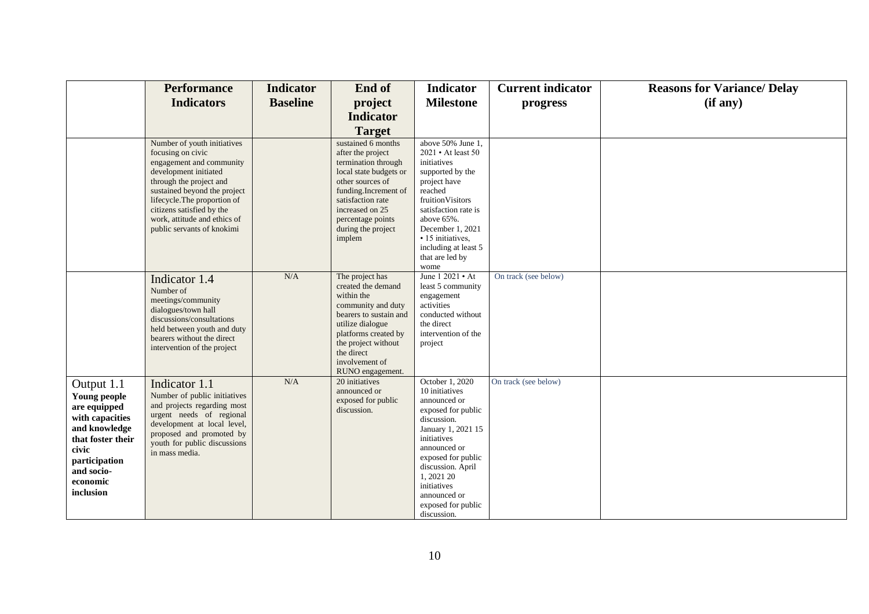|                                                                                                                                                                      | <b>Performance</b>                                                                                                                                                                                                                                                                          | <b>Indicator</b> | End of                                                                                                                                                                                                                            | <b>Indicator</b>                                                                                                                                                                                                                                                         | <b>Current indicator</b> | <b>Reasons for Variance/ Delay</b> |
|----------------------------------------------------------------------------------------------------------------------------------------------------------------------|---------------------------------------------------------------------------------------------------------------------------------------------------------------------------------------------------------------------------------------------------------------------------------------------|------------------|-----------------------------------------------------------------------------------------------------------------------------------------------------------------------------------------------------------------------------------|--------------------------------------------------------------------------------------------------------------------------------------------------------------------------------------------------------------------------------------------------------------------------|--------------------------|------------------------------------|
|                                                                                                                                                                      | <b>Indicators</b>                                                                                                                                                                                                                                                                           | <b>Baseline</b>  | project                                                                                                                                                                                                                           | <b>Milestone</b>                                                                                                                                                                                                                                                         | progress                 | (if any)                           |
|                                                                                                                                                                      |                                                                                                                                                                                                                                                                                             |                  | <b>Indicator</b>                                                                                                                                                                                                                  |                                                                                                                                                                                                                                                                          |                          |                                    |
|                                                                                                                                                                      |                                                                                                                                                                                                                                                                                             |                  | <b>Target</b>                                                                                                                                                                                                                     |                                                                                                                                                                                                                                                                          |                          |                                    |
|                                                                                                                                                                      | Number of youth initiatives<br>focusing on civic<br>engagement and community<br>development initiated<br>through the project and<br>sustained beyond the project<br>lifecycle. The proportion of<br>citizens satisfied by the<br>work, attitude and ethics of<br>public servants of knokimi |                  | sustained 6 months<br>after the project<br>termination through<br>local state budgets or<br>other sources of<br>funding.Increment of<br>satisfaction rate<br>increased on 25<br>percentage points<br>during the project<br>implem | above 50% June 1.<br>2021 • At least 50<br>initiatives<br>supported by the<br>project have<br>reached<br>fruitionVisitors<br>satisfaction rate is<br>above 65%.<br>December 1, 2021<br>• 15 initiatives,<br>including at least 5<br>that are led by<br>wome              |                          |                                    |
|                                                                                                                                                                      | Indicator 1.4<br>Number of<br>meetings/community<br>dialogues/town hall<br>discussions/consultations<br>held between youth and duty<br>bearers without the direct<br>intervention of the project                                                                                            | N/A              | The project has<br>created the demand<br>within the<br>community and duty<br>bearers to sustain and<br>utilize dialogue<br>platforms created by<br>the project without<br>the direct<br>involvement of<br>RUNO engagement.        | June 1 2021 • At<br>least 5 community<br>engagement<br>activities<br>conducted without<br>the direct<br>intervention of the<br>project                                                                                                                                   | On track (see below)     |                                    |
| Output 1.1<br>Young people<br>are equipped<br>with capacities<br>and knowledge<br>that foster their<br>civic<br>participation<br>and socio-<br>economic<br>inclusion | Indicator 1.1<br>Number of public initiatives<br>and projects regarding most<br>urgent needs of regional<br>development at local level,<br>proposed and promoted by<br>youth for public discussions<br>in mass media.                                                                       | N/A              | 20 initiatives<br>announced or<br>exposed for public<br>discussion.                                                                                                                                                               | October 1, 2020<br>10 initiatives<br>announced or<br>exposed for public<br>discussion.<br>January 1, 2021 15<br>initiatives<br>announced or<br>exposed for public<br>discussion. April<br>1, 2021 20<br>initiatives<br>announced or<br>exposed for public<br>discussion. | On track (see below)     |                                    |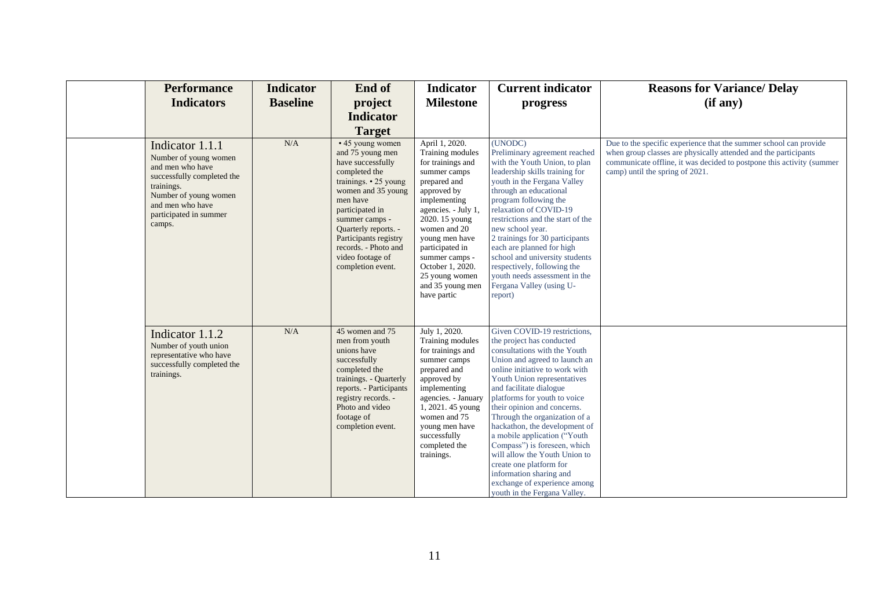| <b>Performance</b><br><b>Indicators</b>                                                                                                                                                   | <b>Indicator</b><br><b>Baseline</b> | End of<br>project                                                                                                                                                                                                                                                                                  | <b>Indicator</b><br><b>Milestone</b>                                                                                                                                                                                                                                                                            | <b>Current indicator</b><br>progress                                                                                                                                                                                                                                                                                                                                                                                                                                                                                                                                           | <b>Reasons for Variance/ Delay</b><br>(if any)                                                                                                                                                                                                   |
|-------------------------------------------------------------------------------------------------------------------------------------------------------------------------------------------|-------------------------------------|----------------------------------------------------------------------------------------------------------------------------------------------------------------------------------------------------------------------------------------------------------------------------------------------------|-----------------------------------------------------------------------------------------------------------------------------------------------------------------------------------------------------------------------------------------------------------------------------------------------------------------|--------------------------------------------------------------------------------------------------------------------------------------------------------------------------------------------------------------------------------------------------------------------------------------------------------------------------------------------------------------------------------------------------------------------------------------------------------------------------------------------------------------------------------------------------------------------------------|--------------------------------------------------------------------------------------------------------------------------------------------------------------------------------------------------------------------------------------------------|
|                                                                                                                                                                                           |                                     | <b>Indicator</b><br><b>Target</b>                                                                                                                                                                                                                                                                  |                                                                                                                                                                                                                                                                                                                 |                                                                                                                                                                                                                                                                                                                                                                                                                                                                                                                                                                                |                                                                                                                                                                                                                                                  |
| Indicator 1.1.1<br>Number of young women<br>and men who have<br>successfully completed the<br>trainings.<br>Number of young women<br>and men who have<br>participated in summer<br>camps. | N/A                                 | • 45 young women<br>and 75 young men<br>have successfully<br>completed the<br>trainings. $\cdot$ 25 young<br>women and 35 young<br>men have<br>participated in<br>summer camps -<br>Quarterly reports. -<br>Participants registry<br>records. - Photo and<br>video footage of<br>completion event. | April 1, 2020.<br>Training modules<br>for trainings and<br>summer camps<br>prepared and<br>approved by<br>implementing<br>agencies. - July 1,<br>2020. 15 young<br>women and 20<br>young men have<br>participated in<br>summer camps -<br>October 1, 2020.<br>25 young women<br>and 35 young men<br>have partic | (UNODC)<br>Preliminary agreement reached<br>with the Youth Union, to plan<br>leadership skills training for<br>youth in the Fergana Valley<br>through an educational<br>program following the<br>relaxation of COVID-19<br>restrictions and the start of the<br>new school year.<br>2 trainings for 30 participants<br>each are planned for high<br>school and university students<br>respectively, following the<br>youth needs assessment in the<br>Fergana Valley (using U-<br>report)                                                                                      | Due to the specific experience that the summer school can provide<br>when group classes are physically attended and the participants<br>communicate offline, it was decided to postpone this activity (summer<br>camp) until the spring of 2021. |
| Indicator 1.1.2<br>Number of youth union<br>representative who have<br>successfully completed the<br>trainings.                                                                           | N/A                                 | 45 women and 75<br>men from youth<br>unions have<br>successfully<br>completed the<br>trainings. - Quarterly<br>reports. - Participants<br>registry records. -<br>Photo and video<br>footage of<br>completion event.                                                                                | July 1, 2020.<br>Training modules<br>for trainings and<br>summer camps<br>prepared and<br>approved by<br>implementing<br>agencies. - January<br>1, 2021. 45 young<br>women and 75<br>young men have<br>successfully<br>completed the<br>trainings.                                                              | Given COVID-19 restrictions,<br>the project has conducted<br>consultations with the Youth<br>Union and agreed to launch an<br>online initiative to work with<br>Youth Union representatives<br>and facilitate dialogue<br>platforms for youth to voice<br>their opinion and concerns.<br>Through the organization of a<br>hackathon, the development of<br>a mobile application ("Youth<br>Compass") is foreseen, which<br>will allow the Youth Union to<br>create one platform for<br>information sharing and<br>exchange of experience among<br>youth in the Fergana Valley. |                                                                                                                                                                                                                                                  |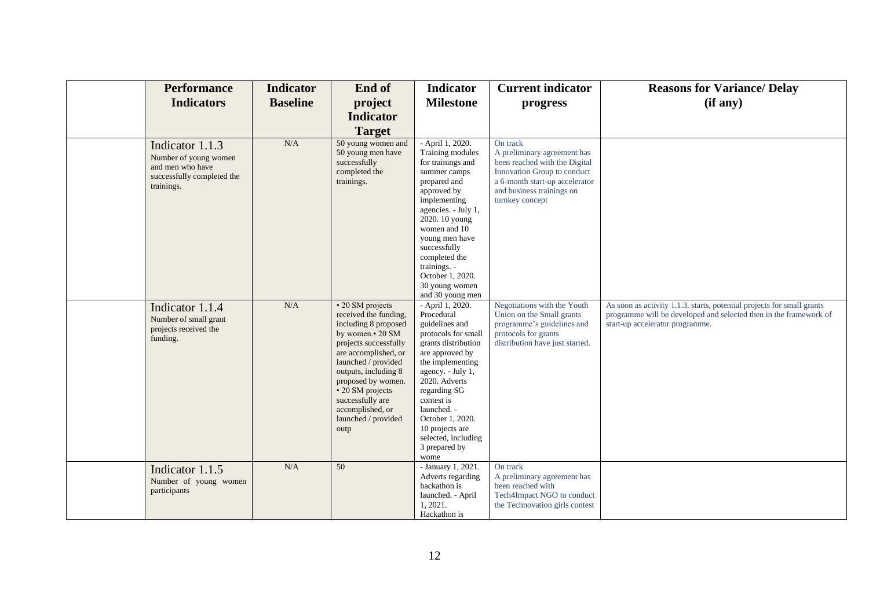| <b>Performance</b>                                                                                       | <b>Indicator</b> | End of                                                                                                                                                                                                                                                                                                                  | <b>Indicator</b>                                                                                                                                                                                                                                                                                                | <b>Current indicator</b>                                                                                                                                                                  | <b>Reasons for Variance/ Delay</b>                                                                                                                                             |
|----------------------------------------------------------------------------------------------------------|------------------|-------------------------------------------------------------------------------------------------------------------------------------------------------------------------------------------------------------------------------------------------------------------------------------------------------------------------|-----------------------------------------------------------------------------------------------------------------------------------------------------------------------------------------------------------------------------------------------------------------------------------------------------------------|-------------------------------------------------------------------------------------------------------------------------------------------------------------------------------------------|--------------------------------------------------------------------------------------------------------------------------------------------------------------------------------|
| <b>Indicators</b>                                                                                        | <b>Baseline</b>  | project                                                                                                                                                                                                                                                                                                                 | <b>Milestone</b>                                                                                                                                                                                                                                                                                                | progress                                                                                                                                                                                  | (if any)                                                                                                                                                                       |
|                                                                                                          |                  | <b>Indicator</b>                                                                                                                                                                                                                                                                                                        |                                                                                                                                                                                                                                                                                                                 |                                                                                                                                                                                           |                                                                                                                                                                                |
|                                                                                                          |                  |                                                                                                                                                                                                                                                                                                                         |                                                                                                                                                                                                                                                                                                                 |                                                                                                                                                                                           |                                                                                                                                                                                |
|                                                                                                          |                  | <b>Target</b>                                                                                                                                                                                                                                                                                                           |                                                                                                                                                                                                                                                                                                                 |                                                                                                                                                                                           |                                                                                                                                                                                |
| Indicator 1.1.3<br>Number of young women<br>and men who have<br>successfully completed the<br>trainings. | N/A              | 50 young women and<br>50 young men have<br>successfully<br>completed the<br>trainings.                                                                                                                                                                                                                                  | - April 1, 2020.<br>Training modules<br>for trainings and<br>summer camps<br>prepared and<br>approved by<br>implementing<br>agencies. - July 1,<br>2020. 10 young<br>women and 10<br>young men have<br>successfully<br>completed the<br>trainings. -<br>October 1, 2020.<br>30 young women<br>and 30 young men  | On track<br>A preliminary agreement has<br>been reached with the Digital<br>Innovation Group to conduct<br>a 6-month start-up accelerator<br>and business trainings on<br>turnkey concept |                                                                                                                                                                                |
| Indicator 1.1.4<br>Number of small grant<br>projects received the<br>funding.                            | N/A              | $\overline{\cdot 20}$ SM projects<br>received the funding,<br>including 8 proposed<br>by women.• 20 SM<br>projects successfully<br>are accomplished, or<br>launched / provided<br>outputs, including 8<br>proposed by women.<br>• 20 SM projects<br>successfully are<br>accomplished, or<br>launched / provided<br>outp | - April 1, 2020.<br>Procedural<br>guidelines and<br>protocols for small<br>grants distribution<br>are approved by<br>the implementing<br>agency. - July 1,<br>2020. Adverts<br>regarding SG<br>contest is<br>launched. -<br>October 1, 2020.<br>10 projects are<br>selected, including<br>3 prepared by<br>wome | Negotiations with the Youth<br>Union on the Small grants<br>programme's guidelines and<br>protocols for grants<br>distribution have just started.                                         | As soon as activity 1.1.3. starts, potential projects for small grants<br>programme will be developed and selected then in the framework of<br>start-up accelerator programme. |
| Indicator 1.1.5<br>Number of young women<br>participants                                                 | N/A              | 50                                                                                                                                                                                                                                                                                                                      | - January 1, 2021.<br>Adverts regarding<br>hackathon is<br>launched. - April<br>1, 2021.<br>Hackathon is                                                                                                                                                                                                        | On track<br>A preliminary agreement has<br>been reached with<br>Tech4Impact NGO to conduct<br>the Technovation girls contest                                                              |                                                                                                                                                                                |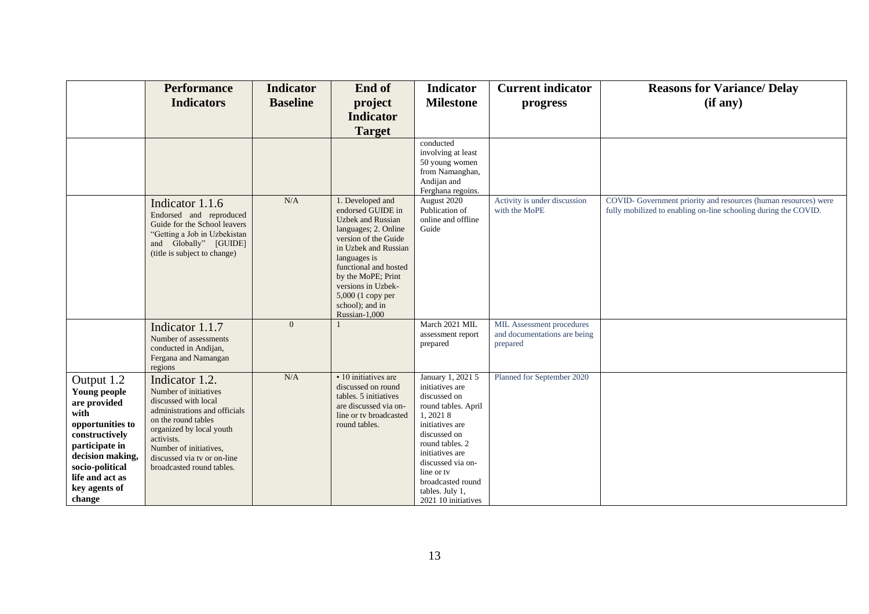|                                                                                                                                                                                                 | <b>Performance</b><br><b>Indicators</b>                                                                                                                                                                                                                 | <b>Indicator</b><br><b>Baseline</b> | End of<br>project<br><b>Indicator</b><br><b>Target</b>                                                                                                                                                                                                                                  | <b>Indicator</b><br><b>Milestone</b>                                                                                                                                                                                                                                | <b>Current indicator</b><br>progress                                  | <b>Reasons for Variance/ Delay</b><br>(if any)                                                                                     |
|-------------------------------------------------------------------------------------------------------------------------------------------------------------------------------------------------|---------------------------------------------------------------------------------------------------------------------------------------------------------------------------------------------------------------------------------------------------------|-------------------------------------|-----------------------------------------------------------------------------------------------------------------------------------------------------------------------------------------------------------------------------------------------------------------------------------------|---------------------------------------------------------------------------------------------------------------------------------------------------------------------------------------------------------------------------------------------------------------------|-----------------------------------------------------------------------|------------------------------------------------------------------------------------------------------------------------------------|
|                                                                                                                                                                                                 |                                                                                                                                                                                                                                                         |                                     |                                                                                                                                                                                                                                                                                         | conducted<br>involving at least<br>50 young women<br>from Namanghan,<br>Andijan and<br>Ferghana regoins.                                                                                                                                                            |                                                                       |                                                                                                                                    |
|                                                                                                                                                                                                 | Indicator 1.1.6<br>Endorsed and reproduced<br>Guide for the School leavers<br>"Getting a Job in Uzbekistan<br>and Globally" [GUIDE]<br>(title is subject to change)                                                                                     | $\rm N/A$                           | 1. Developed and<br>endorsed GUIDE in<br><b>Uzbek</b> and Russian<br>languages; 2. Online<br>version of the Guide<br>in Uzbek and Russian<br>languages is<br>functional and hosted<br>by the MoPE; Print<br>versions in Uzbek-<br>5,000 (1 copy per<br>school); and in<br>Russian-1,000 | August 2020<br>Publication of<br>online and offline<br>Guide                                                                                                                                                                                                        | Activity is under discussion<br>with the MoPE                         | COVID- Government priority and resources (human resources) were<br>fully mobilized to enabling on-line schooling during the COVID. |
|                                                                                                                                                                                                 | Indicator 1.1.7<br>Number of assessments<br>conducted in Andijan,<br>Fergana and Namangan<br>regions                                                                                                                                                    | $\mathbf{0}$                        |                                                                                                                                                                                                                                                                                         | March 2021 MIL<br>assessment report<br>prepared                                                                                                                                                                                                                     | MIL Assessment procedures<br>and documentations are being<br>prepared |                                                                                                                                    |
| Output 1.2<br>Young people<br>are provided<br>with<br>opportunities to<br>constructively<br>participate in<br>decision making,<br>socio-political<br>life and act as<br>key agents of<br>change | Indicator 1.2.<br>Number of initiatives<br>discussed with local<br>administrations and officials<br>on the round tables<br>organized by local youth<br>activists.<br>Number of initiatives,<br>discussed via tv or on-line<br>broadcasted round tables. | $\rm N/A$                           | • 10 initiatives are<br>discussed on round<br>tables. 5 initiatives<br>are discussed via on-<br>line or tv broadcasted<br>round tables.                                                                                                                                                 | January 1, 2021 5<br>initiatives are<br>discussed on<br>round tables. April<br>1, 2021 8<br>initiatives are<br>discussed on<br>round tables. 2<br>initiatives are<br>discussed via on-<br>line or ty<br>broadcasted round<br>tables. July 1,<br>2021 10 initiatives | Planned for September 2020                                            |                                                                                                                                    |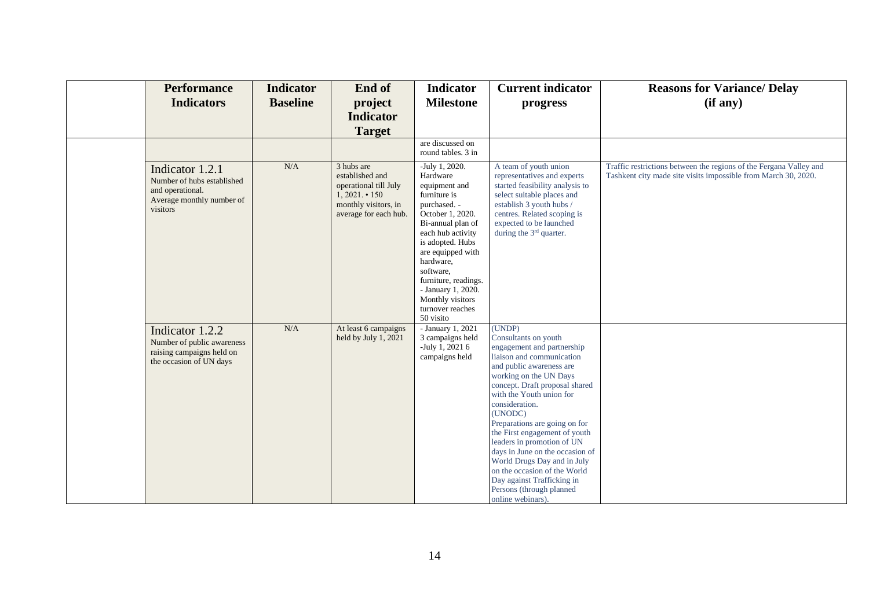| <b>Performance</b><br><b>Indicators</b>                                                                    | <b>Indicator</b><br><b>Baseline</b> | End of<br>project<br><b>Indicator</b><br><b>Target</b>                                                                        | <b>Indicator</b><br><b>Milestone</b>                                                                                                                                                                                                                                                                            | <b>Current indicator</b><br>progress                                                                                                                                                                                                                                                                                                                                                                                                                                                                                        | <b>Reasons for Variance/ Delay</b><br>(if any)                                                                                       |
|------------------------------------------------------------------------------------------------------------|-------------------------------------|-------------------------------------------------------------------------------------------------------------------------------|-----------------------------------------------------------------------------------------------------------------------------------------------------------------------------------------------------------------------------------------------------------------------------------------------------------------|-----------------------------------------------------------------------------------------------------------------------------------------------------------------------------------------------------------------------------------------------------------------------------------------------------------------------------------------------------------------------------------------------------------------------------------------------------------------------------------------------------------------------------|--------------------------------------------------------------------------------------------------------------------------------------|
|                                                                                                            |                                     |                                                                                                                               | are discussed on<br>round tables. 3 in                                                                                                                                                                                                                                                                          |                                                                                                                                                                                                                                                                                                                                                                                                                                                                                                                             |                                                                                                                                      |
| Indicator 1.2.1<br>Number of hubs established<br>and operational.<br>Average monthly number of<br>visitors | N/A                                 | 3 hubs are<br>established and<br>operational till July<br>$1,2021 \cdot 150$<br>monthly visitors, in<br>average for each hub. | -July 1, 2020.<br>Hardware<br>equipment and<br>furniture is<br>purchased. -<br>October 1, 2020.<br>Bi-annual plan of<br>each hub activity<br>is adopted. Hubs<br>are equipped with<br>hardware,<br>software,<br>furniture, readings.<br>- January 1, 2020.<br>Monthly visitors<br>turnover reaches<br>50 visito | A team of youth union<br>representatives and experts<br>started feasibility analysis to<br>select suitable places and<br>establish 3 youth hubs /<br>centres. Related scoping is<br>expected to be launched<br>during the 3 <sup>rd</sup> quarter.                                                                                                                                                                                                                                                                          | Traffic restrictions between the regions of the Fergana Valley and<br>Tashkent city made site visits impossible from March 30, 2020. |
| Indicator 1.2.2<br>Number of public awareness<br>raising campaigns held on<br>the occasion of UN days      | N/A                                 | At least 6 campaigns<br>held by July 1, 2021                                                                                  | - January $1,2021$<br>3 campaigns held<br>-July 1, 2021 $6$<br>campaigns held                                                                                                                                                                                                                                   | (UNDP)<br>Consultants on youth<br>engagement and partnership<br>liaison and communication<br>and public awareness are<br>working on the UN Days<br>concept. Draft proposal shared<br>with the Youth union for<br>consideration.<br>(UNODC)<br>Preparations are going on for<br>the First engagement of youth<br>leaders in promotion of UN<br>days in June on the occasion of<br>World Drugs Day and in July<br>on the occasion of the World<br>Day against Trafficking in<br>Persons (through planned<br>online webinars). |                                                                                                                                      |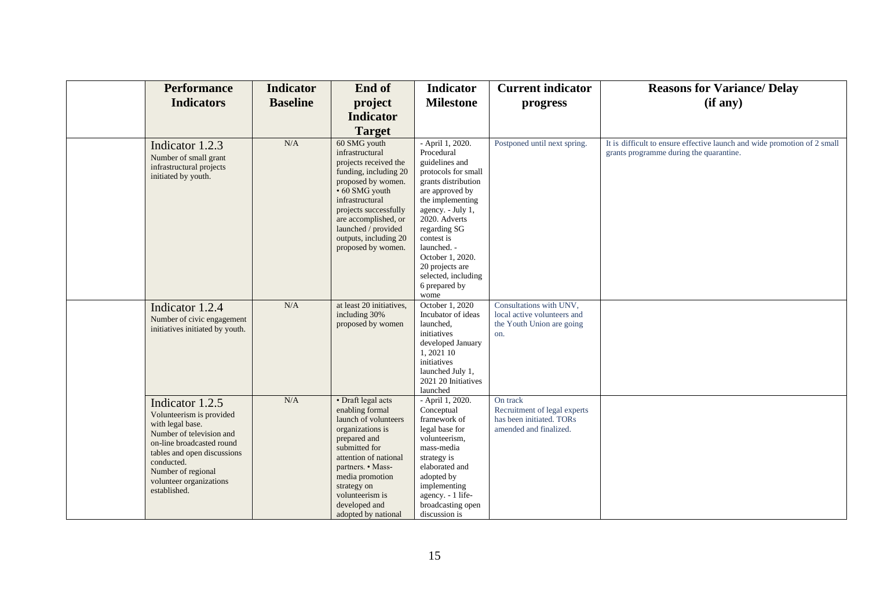| <b>Performance</b>                                                                                                                                                                                                                     | <b>Indicator</b> | End of                                                                                                                                                                                                                                                              | <b>Indicator</b>                                                                                                                                                                                                                                                                                                | <b>Current indicator</b>                                                                       | <b>Reasons for Variance/ Delay</b>                                                                                  |
|----------------------------------------------------------------------------------------------------------------------------------------------------------------------------------------------------------------------------------------|------------------|---------------------------------------------------------------------------------------------------------------------------------------------------------------------------------------------------------------------------------------------------------------------|-----------------------------------------------------------------------------------------------------------------------------------------------------------------------------------------------------------------------------------------------------------------------------------------------------------------|------------------------------------------------------------------------------------------------|---------------------------------------------------------------------------------------------------------------------|
| <b>Indicators</b>                                                                                                                                                                                                                      | <b>Baseline</b>  | project                                                                                                                                                                                                                                                             | <b>Milestone</b>                                                                                                                                                                                                                                                                                                | progress                                                                                       | (if any)                                                                                                            |
|                                                                                                                                                                                                                                        |                  | <b>Indicator</b>                                                                                                                                                                                                                                                    |                                                                                                                                                                                                                                                                                                                 |                                                                                                |                                                                                                                     |
|                                                                                                                                                                                                                                        |                  | <b>Target</b>                                                                                                                                                                                                                                                       |                                                                                                                                                                                                                                                                                                                 |                                                                                                |                                                                                                                     |
| Indicator 1.2.3<br>Number of small grant<br>infrastructural projects<br>initiated by youth.                                                                                                                                            | N/A              | 60 SMG youth<br>infrastructural<br>projects received the<br>funding, including 20<br>proposed by women.<br>• 60 SMG youth<br>infrastructural<br>projects successfully<br>are accomplished, or<br>launched / provided<br>outputs, including 20<br>proposed by women. | - April 1, 2020.<br>Procedural<br>guidelines and<br>protocols for small<br>grants distribution<br>are approved by<br>the implementing<br>agency. - July 1,<br>2020. Adverts<br>regarding SG<br>contest is<br>launched. -<br>October 1, 2020.<br>20 projects are<br>selected, including<br>6 prepared by<br>wome | Postponed until next spring.                                                                   | It is difficult to ensure effective launch and wide promotion of 2 small<br>grants programme during the quarantine. |
| Indicator 1.2.4<br>Number of civic engagement<br>initiatives initiated by youth.                                                                                                                                                       | N/A              | at least 20 initiatives,<br>including 30%<br>proposed by women                                                                                                                                                                                                      | October 1, 2020<br>Incubator of ideas<br>launched,<br>initiatives<br>developed January<br>1,2021 10<br>initiatives<br>launched July 1,<br>2021 20 Initiatives<br>launched                                                                                                                                       | Consultations with UNV,<br>local active volunteers and<br>the Youth Union are going<br>on.     |                                                                                                                     |
| Indicator 1.2.5<br>Volunteerism is provided<br>with legal base.<br>Number of television and<br>on-line broadcasted round<br>tables and open discussions<br>conducted.<br>Number of regional<br>volunteer organizations<br>established. | N/A              | • Draft legal acts<br>enabling formal<br>launch of volunteers<br>organizations is<br>prepared and<br>submitted for<br>attention of national<br>partners. • Mass-<br>media promotion<br>strategy on<br>volunteerism is<br>developed and<br>adopted by national       | - April 1, 2020.<br>Conceptual<br>framework of<br>legal base for<br>volunteerism,<br>mass-media<br>strategy is<br>elaborated and<br>adopted by<br>implementing<br>agency. - 1 life-<br>broadcasting open<br>discussion is                                                                                       | On track<br>Recruitment of legal experts<br>has been initiated. TORs<br>amended and finalized. |                                                                                                                     |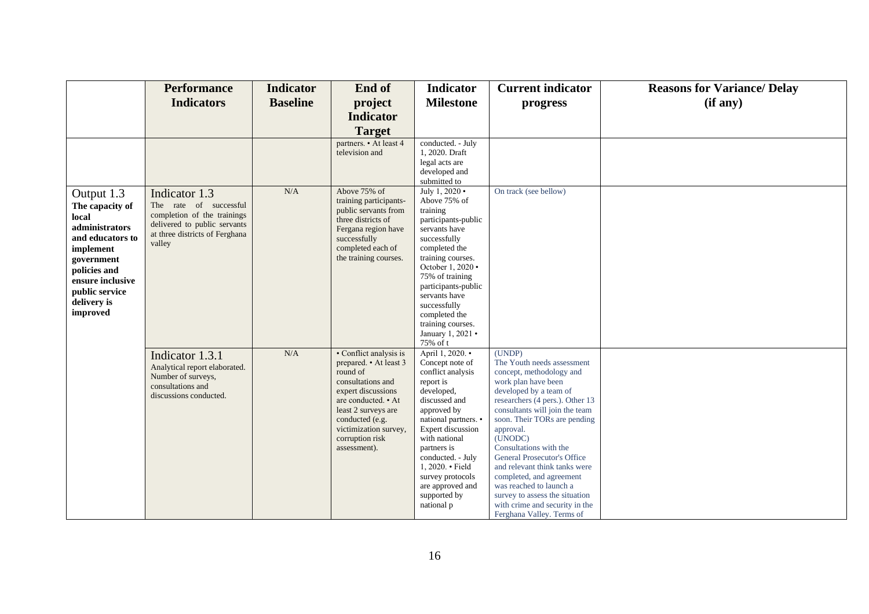|                  | <b>Performance</b>                      | <b>Indicator</b> | End of                                     | <b>Indicator</b>                       | <b>Current indicator</b>                                       | <b>Reasons for Variance/ Delay</b> |
|------------------|-----------------------------------------|------------------|--------------------------------------------|----------------------------------------|----------------------------------------------------------------|------------------------------------|
|                  | <b>Indicators</b>                       | <b>Baseline</b>  | project                                    | <b>Milestone</b>                       | progress                                                       | (if any)                           |
|                  |                                         |                  | <b>Indicator</b>                           |                                        |                                                                |                                    |
|                  |                                         |                  | <b>Target</b>                              |                                        |                                                                |                                    |
|                  |                                         |                  | partners. • At least 4                     | conducted. - July                      |                                                                |                                    |
|                  |                                         |                  | television and                             | 1, 2020. Draft                         |                                                                |                                    |
|                  |                                         |                  |                                            | legal acts are<br>developed and        |                                                                |                                    |
|                  |                                         |                  |                                            | submitted to                           |                                                                |                                    |
| Output 1.3       | Indicator 1.3                           | N/A              | Above 75% of                               | July 1, 2020 •                         | On track (see bellow)                                          |                                    |
| The capacity of  | The rate of successful                  |                  | training participants-                     | Above 75% of                           |                                                                |                                    |
| local            | completion of the trainings             |                  | public servants from<br>three districts of | training<br>participants-public        |                                                                |                                    |
| administrators   | delivered to public servants            |                  | Fergana region have                        | servants have                          |                                                                |                                    |
| and educators to | at three districts of Ferghana          |                  | successfully                               | successfully                           |                                                                |                                    |
| implement        | valley                                  |                  | completed each of                          | completed the                          |                                                                |                                    |
| government       |                                         |                  | the training courses.                      | training courses.                      |                                                                |                                    |
| policies and     |                                         |                  |                                            | October 1, 2020 .                      |                                                                |                                    |
| ensure inclusive |                                         |                  |                                            | 75% of training<br>participants-public |                                                                |                                    |
| public service   |                                         |                  |                                            | servants have                          |                                                                |                                    |
| delivery is      |                                         |                  |                                            | successfully                           |                                                                |                                    |
| improved         |                                         |                  |                                            | completed the                          |                                                                |                                    |
|                  |                                         |                  |                                            | training courses.                      |                                                                |                                    |
|                  |                                         |                  |                                            | January 1, 2021 •                      |                                                                |                                    |
|                  |                                         | $\rm N/A$        | • Conflict analysis is                     | 75% of t<br>April 1, 2020. •           | (UNDP)                                                         |                                    |
|                  | Indicator 1.3.1                         |                  | prepared. • At least 3                     | Concept note of                        | The Youth needs assessment                                     |                                    |
|                  | Analytical report elaborated.           |                  | round of                                   | conflict analysis                      | concept, methodology and                                       |                                    |
|                  | Number of surveys,<br>consultations and |                  | consultations and                          | report is                              | work plan have been                                            |                                    |
|                  | discussions conducted.                  |                  | expert discussions                         | developed,                             | developed by a team of                                         |                                    |
|                  |                                         |                  | are conducted. • At                        | discussed and                          | researchers (4 pers.). Other 13                                |                                    |
|                  |                                         |                  | least 2 surveys are<br>conducted (e.g.     | approved by<br>national partners. •    | consultants will join the team<br>soon. Their TORs are pending |                                    |
|                  |                                         |                  | victimization survey,                      | Expert discussion                      | approval.                                                      |                                    |
|                  |                                         |                  | corruption risk                            | with national                          | (UNODC)                                                        |                                    |
|                  |                                         |                  | assessment).                               | partners is                            | Consultations with the                                         |                                    |
|                  |                                         |                  |                                            | conducted. - July                      | General Prosecutor's Office                                    |                                    |
|                  |                                         |                  |                                            | 1, 2020. • Field<br>survey protocols   | and relevant think tanks were<br>completed, and agreement      |                                    |
|                  |                                         |                  |                                            | are approved and                       | was reached to launch a                                        |                                    |
|                  |                                         |                  |                                            | supported by                           | survey to assess the situation                                 |                                    |
|                  |                                         |                  |                                            | national p                             | with crime and security in the                                 |                                    |
|                  |                                         |                  |                                            |                                        | Ferghana Valley. Terms of                                      |                                    |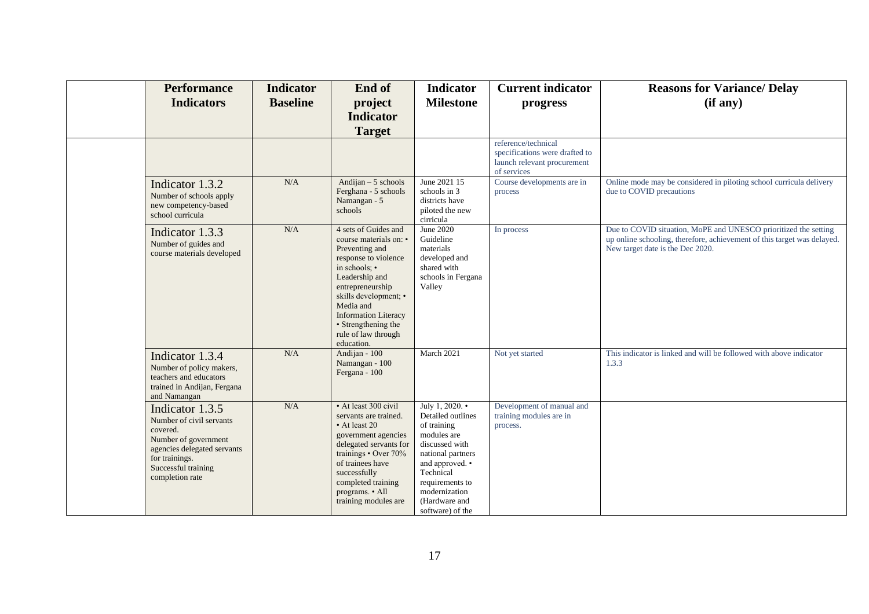| <b>Performance</b><br><b>Indicators</b>                                                                                                                                    | <b>Indicator</b><br><b>Baseline</b> | End of<br>project<br><b>Indicator</b><br><b>Target</b>                                                                                                                                                                                                                           | <b>Indicator</b><br><b>Milestone</b>                                                                                                                                                                               | <b>Current indicator</b><br>progress                                                                | <b>Reasons for Variance/ Delay</b><br>(if any)                                                                                                                                 |
|----------------------------------------------------------------------------------------------------------------------------------------------------------------------------|-------------------------------------|----------------------------------------------------------------------------------------------------------------------------------------------------------------------------------------------------------------------------------------------------------------------------------|--------------------------------------------------------------------------------------------------------------------------------------------------------------------------------------------------------------------|-----------------------------------------------------------------------------------------------------|--------------------------------------------------------------------------------------------------------------------------------------------------------------------------------|
|                                                                                                                                                                            |                                     |                                                                                                                                                                                                                                                                                  |                                                                                                                                                                                                                    | reference/technical<br>specifications were drafted to<br>launch relevant procurement<br>of services |                                                                                                                                                                                |
| Indicator 1.3.2<br>Number of schools apply<br>new competency-based<br>school curricula                                                                                     | N/A                                 | Andijan $-5$ schools<br>Ferghana - 5 schools<br>Namangan - 5<br>schools                                                                                                                                                                                                          | June 2021 15<br>schools in 3<br>districts have<br>piloted the new<br>cirricula                                                                                                                                     | Course developments are in<br>process                                                               | Online mode may be considered in piloting school curricula delivery<br>due to COVID precautions                                                                                |
| Indicator 1.3.3<br>Number of guides and<br>course materials developed                                                                                                      | N/A                                 | 4 sets of Guides and<br>course materials on: •<br>Preventing and<br>response to violence<br>in schools: •<br>Leadership and<br>entrepreneurship<br>skills development; •<br>Media and<br><b>Information Literacy</b><br>• Strengthening the<br>rule of law through<br>education. | June 2020<br>Guideline<br>materials<br>developed and<br>shared with<br>schools in Fergana<br>Valley                                                                                                                | In process                                                                                          | Due to COVID situation, MoPE and UNESCO prioritized the setting<br>up online schooling, therefore, achievement of this target was delayed.<br>New target date is the Dec 2020. |
| Indicator 1.3.4<br>Number of policy makers,<br>teachers and educators<br>trained in Andijan, Fergana<br>and Namangan                                                       | N/A                                 | Andijan - 100<br>Namangan - 100<br>Fergana - 100                                                                                                                                                                                                                                 | March 2021                                                                                                                                                                                                         | Not yet started                                                                                     | This indicator is linked and will be followed with above indicator<br>1.3.3                                                                                                    |
| Indicator 1.3.5<br>Number of civil servants<br>covered.<br>Number of government<br>agencies delegated servants<br>for trainings.<br>Successful training<br>completion rate | N/A                                 | • At least 300 civil<br>servants are trained.<br>• At least 20<br>government agencies<br>delegated servants for<br>trainings • Over 70%<br>of trainees have<br>successfully<br>completed training<br>programs. • All<br>training modules are                                     | July 1, 2020. •<br>Detailed outlines<br>of training<br>modules are<br>discussed with<br>national partners<br>and approved. •<br>Technical<br>requirements to<br>modernization<br>(Hardware and<br>software) of the | Development of manual and<br>training modules are in<br>process.                                    |                                                                                                                                                                                |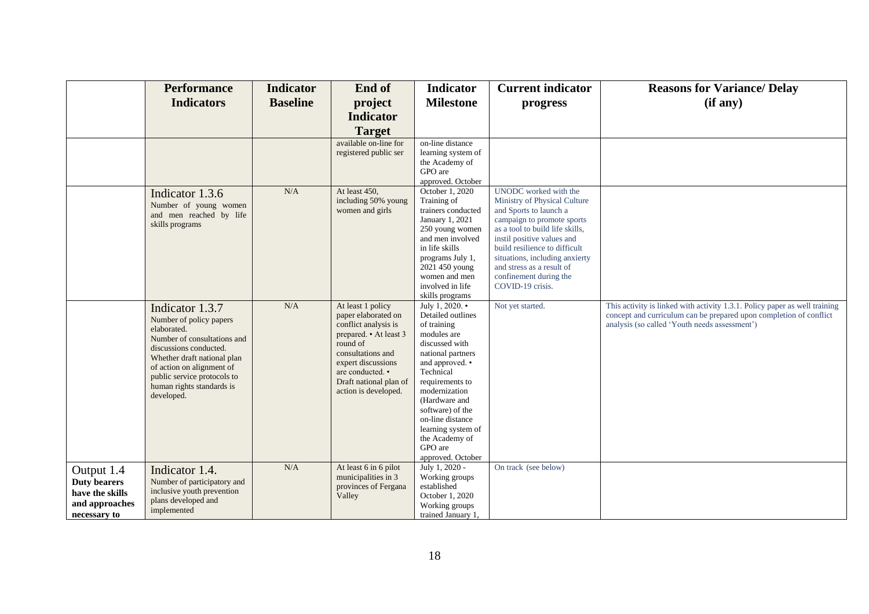|                                                                                        | <b>Performance</b>                                                                                                                                                                                                                                       | <b>Indicator</b> | End of                                                                                                                                                                                                                  | <b>Indicator</b>                                                                                                                                                                                                                                                                                               | <b>Current indicator</b>                                                                                                                                                                                                                                                                                                     | <b>Reasons for Variance/ Delay</b>                                                                                                                                                                |
|----------------------------------------------------------------------------------------|----------------------------------------------------------------------------------------------------------------------------------------------------------------------------------------------------------------------------------------------------------|------------------|-------------------------------------------------------------------------------------------------------------------------------------------------------------------------------------------------------------------------|----------------------------------------------------------------------------------------------------------------------------------------------------------------------------------------------------------------------------------------------------------------------------------------------------------------|------------------------------------------------------------------------------------------------------------------------------------------------------------------------------------------------------------------------------------------------------------------------------------------------------------------------------|---------------------------------------------------------------------------------------------------------------------------------------------------------------------------------------------------|
|                                                                                        | <b>Indicators</b>                                                                                                                                                                                                                                        | <b>Baseline</b>  | project                                                                                                                                                                                                                 | <b>Milestone</b>                                                                                                                                                                                                                                                                                               | progress                                                                                                                                                                                                                                                                                                                     | (if any)                                                                                                                                                                                          |
|                                                                                        |                                                                                                                                                                                                                                                          |                  | <b>Indicator</b>                                                                                                                                                                                                        |                                                                                                                                                                                                                                                                                                                |                                                                                                                                                                                                                                                                                                                              |                                                                                                                                                                                                   |
|                                                                                        |                                                                                                                                                                                                                                                          |                  | <b>Target</b>                                                                                                                                                                                                           |                                                                                                                                                                                                                                                                                                                |                                                                                                                                                                                                                                                                                                                              |                                                                                                                                                                                                   |
|                                                                                        |                                                                                                                                                                                                                                                          |                  | available on-line for<br>registered public ser                                                                                                                                                                          | on-line distance<br>learning system of<br>the Academy of<br>GPO are<br>approved. October                                                                                                                                                                                                                       |                                                                                                                                                                                                                                                                                                                              |                                                                                                                                                                                                   |
|                                                                                        | Indicator 1.3.6<br>Number of young women<br>and men reached by life<br>skills programs                                                                                                                                                                   | N/A              | At least 450,<br>including 50% young<br>women and girls                                                                                                                                                                 | October 1, 2020<br>Training of<br>trainers conducted<br>January 1, 2021<br>250 young women<br>and men involved<br>in life skills<br>programs July 1,<br>2021 450 young<br>women and men<br>involved in life<br>skills programs                                                                                 | UNODC worked with the<br>Ministry of Physical Culture<br>and Sports to launch a<br>campaign to promote sports<br>as a tool to build life skills,<br>instil positive values and<br>build resilience to difficult<br>situations, including anxierty<br>and stress as a result of<br>confinement during the<br>COVID-19 crisis. |                                                                                                                                                                                                   |
|                                                                                        | Indicator 1.3.7<br>Number of policy papers<br>elaborated.<br>Number of consultations and<br>discussions conducted.<br>Whether draft national plan<br>of action on alignment of<br>public service protocols to<br>human rights standards is<br>developed. | N/A              | At least 1 policy<br>paper elaborated on<br>conflict analysis is<br>prepared. • At least 3<br>round of<br>consultations and<br>expert discussions<br>are conducted. •<br>Draft national plan of<br>action is developed. | July 1, 2020. •<br>Detailed outlines<br>of training<br>modules are<br>discussed with<br>national partners<br>and approved. •<br>Technical<br>requirements to<br>modernization<br>(Hardware and<br>software) of the<br>on-line distance<br>learning system of<br>the Academy of<br>GPO are<br>approved. October | Not yet started.                                                                                                                                                                                                                                                                                                             | This activity is linked with activity 1.3.1. Policy paper as well training<br>concept and curriculum can be prepared upon completion of conflict<br>analysis (so called 'Youth needs assessment') |
| Output 1.4<br><b>Duty bearers</b><br>have the skills<br>and approaches<br>necessary to | Indicator 1.4.<br>Number of participatory and<br>inclusive youth prevention<br>plans developed and<br>implemented                                                                                                                                        | N/A              | At least 6 in 6 pilot<br>municipalities in 3<br>provinces of Fergana<br>Valley                                                                                                                                          | July 1, 2020 -<br>Working groups<br>established<br>October 1, 2020<br>Working groups<br>trained January 1,                                                                                                                                                                                                     | On track (see below)                                                                                                                                                                                                                                                                                                         |                                                                                                                                                                                                   |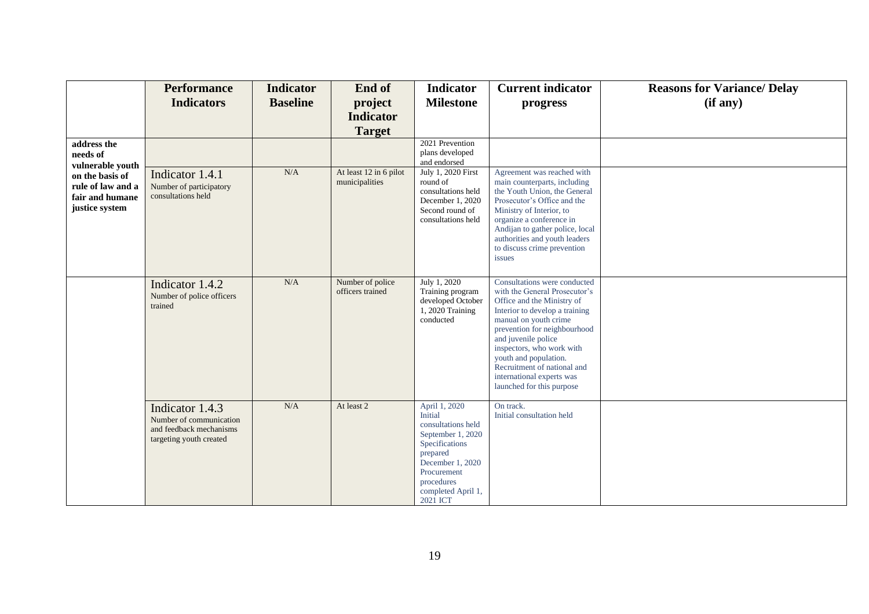|                                                                                               | <b>Performance</b><br><b>Indicators</b>                                                          | <b>Indicator</b><br><b>Baseline</b> | End of<br>project<br><b>Indicator</b><br><b>Target</b> | <b>Indicator</b><br><b>Milestone</b>                                                                                                                                                 | <b>Current indicator</b><br>progress                                                                                                                                                                                                                                                                                                                         | <b>Reasons for Variance/ Delay</b><br>(if any) |
|-----------------------------------------------------------------------------------------------|--------------------------------------------------------------------------------------------------|-------------------------------------|--------------------------------------------------------|--------------------------------------------------------------------------------------------------------------------------------------------------------------------------------------|--------------------------------------------------------------------------------------------------------------------------------------------------------------------------------------------------------------------------------------------------------------------------------------------------------------------------------------------------------------|------------------------------------------------|
| address the<br>needs of                                                                       |                                                                                                  |                                     |                                                        | 2021 Prevention<br>plans developed<br>and endorsed                                                                                                                                   |                                                                                                                                                                                                                                                                                                                                                              |                                                |
| vulnerable youth<br>on the basis of<br>rule of law and a<br>fair and humane<br>justice system | Indicator 1.4.1<br>Number of participatory<br>consultations held                                 | N/A                                 | At least 12 in 6 pilot<br>municipalities               | July 1, 2020 First<br>round of<br>consultations held<br>December 1, 2020<br>Second round of<br>consultations held                                                                    | Agreement was reached with<br>main counterparts, including<br>the Youth Union, the General<br>Prosecutor's Office and the<br>Ministry of Interior, to<br>organize a conference in<br>Andijan to gather police, local<br>authorities and youth leaders<br>to discuss crime prevention<br>issues                                                               |                                                |
|                                                                                               | Indicator 1.4.2<br>Number of police officers<br>trained                                          | N/A                                 | Number of police<br>officers trained                   | July 1, 2020<br>Training program<br>developed October<br>$1,2020$ Training<br>conducted                                                                                              | Consultations were conducted<br>with the General Prosecutor's<br>Office and the Ministry of<br>Interior to develop a training<br>manual on youth crime<br>prevention for neighbourhood<br>and juvenile police<br>inspectors, who work with<br>youth and population.<br>Recruitment of national and<br>international experts was<br>launched for this purpose |                                                |
|                                                                                               | Indicator 1.4.3<br>Number of communication<br>and feedback mechanisms<br>targeting youth created | N/A                                 | At least 2                                             | April 1, 2020<br>Initial<br>consultations held<br>September 1, 2020<br>Specifications<br>prepared<br>December 1, 2020<br>Procurement<br>procedures<br>completed April 1,<br>2021 ICT | On track.<br>Initial consultation held                                                                                                                                                                                                                                                                                                                       |                                                |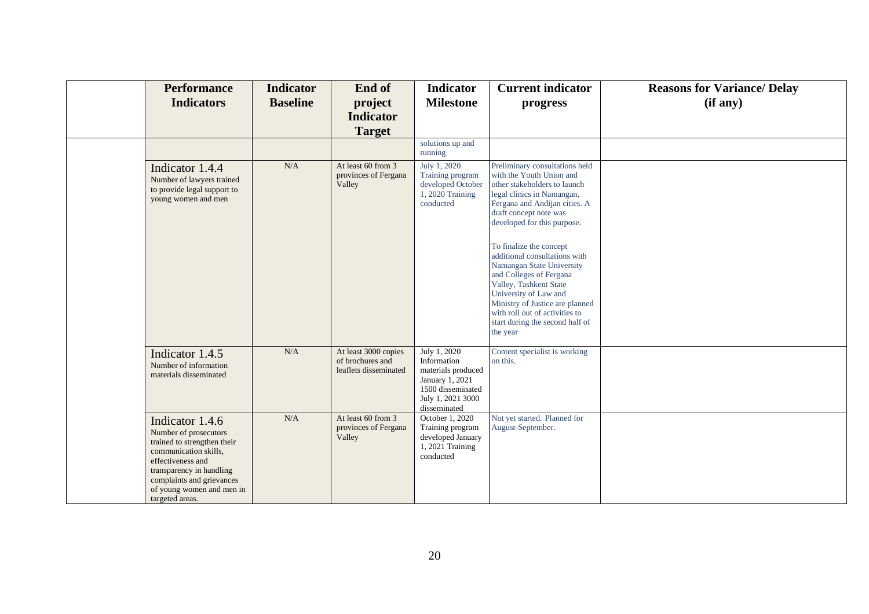| <b>Performance</b><br><b>Indicators</b>                                                                                                                                                                                        | <b>Indicator</b><br><b>Baseline</b> | End of<br>project<br><b>Indicator</b><br><b>Target</b>            | <b>Indicator</b><br><b>Milestone</b>                                                                                           | <b>Current indicator</b><br>progress                                                                                                                                                                                                                                                                        | <b>Reasons for Variance/ Delay</b><br>(if any) |
|--------------------------------------------------------------------------------------------------------------------------------------------------------------------------------------------------------------------------------|-------------------------------------|-------------------------------------------------------------------|--------------------------------------------------------------------------------------------------------------------------------|-------------------------------------------------------------------------------------------------------------------------------------------------------------------------------------------------------------------------------------------------------------------------------------------------------------|------------------------------------------------|
|                                                                                                                                                                                                                                |                                     |                                                                   | solutions up and<br>running                                                                                                    |                                                                                                                                                                                                                                                                                                             |                                                |
| Indicator 1.4.4<br>Number of lawyers trained<br>to provide legal support to<br>young women and men                                                                                                                             | N/A                                 | At least 60 from 3<br>provinces of Fergana<br>Valley              | July 1, 2020<br>Training program<br>developed October<br>1, 2020 Training<br>conducted                                         | Preliminary consultations held<br>with the Youth Union and<br>other stakeholders to launch<br>legal clinics in Namangan,<br>Fergana and Andijan cities. A<br>draft concept note was<br>developed for this purpose.<br>To finalize the concept<br>additional consultations with<br>Namangan State University |                                                |
|                                                                                                                                                                                                                                |                                     |                                                                   |                                                                                                                                | and Colleges of Fergana<br>Valley, Tashkent State<br>University of Law and<br>Ministry of Justice are planned<br>with roll out of activities to<br>start during the second half of<br>the year                                                                                                              |                                                |
| Indicator 1.4.5<br>Number of information<br>materials disseminated                                                                                                                                                             | N/A                                 | At least 3000 copies<br>of brochures and<br>leaflets disseminated | July 1, 2020<br>Information<br>materials produced<br>January 1, 2021<br>1500 disseminated<br>July 1, 2021 3000<br>disseminated | Content specialist is working<br>on this.                                                                                                                                                                                                                                                                   |                                                |
| Indicator 1.4.6<br>Number of prosecutors<br>trained to strengthen their<br>communication skills,<br>effectiveness and<br>transparency in handling<br>complaints and grievances<br>of young women and men in<br>targeted areas. | N/A                                 | At least 60 from 3<br>provinces of Fergana<br>Valley              | October 1, 2020<br>Training program<br>developed January<br>1, 2021 Training<br>conducted                                      | Not yet started. Planned for<br>August-September.                                                                                                                                                                                                                                                           |                                                |